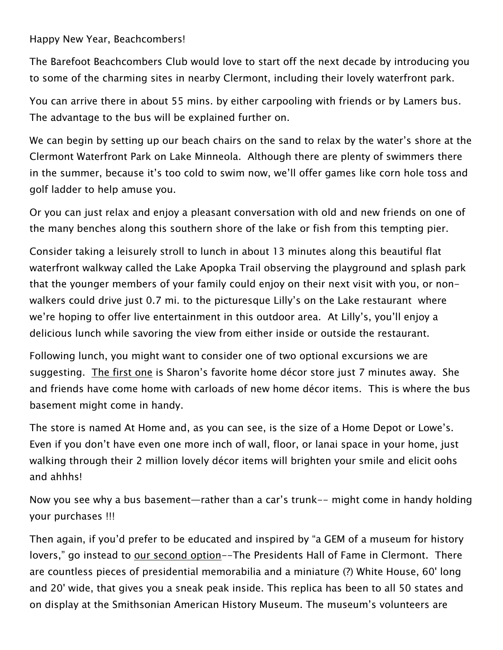Happy New Year, Beachcombers!

The Barefoot Beachcombers Club would love to start off the next decade by introducing you to some of the charming sites in nearby Clermont, including their lovely waterfront park.

You can arrive there in about 55 mins. by either carpooling with friends or by Lamers bus. The advantage to the bus will be explained further on.

We can begin by setting up our beach chairs on the sand to relax by the water's shore at the Clermont Waterfront Park on Lake Minneola. Although there are plenty of swimmers there in the summer, because it's too cold to swim now, we'll offer games like corn hole toss and golf ladder to help amuse you.

Or you can just relax and enjoy a pleasant conversation with old and new friends on one of the many benches along this southern shore of the lake or fish from this tempting pier.

Consider taking a leisurely stroll to lunch in about 13 minutes along this beautiful flat waterfront walkway called the Lake Apopka Trail observing the playground and splash park that the younger members of your family could enjoy on their next visit with you, or nonwalkers could drive just 0.7 mi. to the picturesque Lilly's on the Lake restaurant where we're hoping to offer live entertainment in this outdoor area. At Lilly's, you'll enjoy a delicious lunch while savoring the view from either inside or outside the restaurant.

Following lunch, you might want to consider one of two optional excursions we are suggesting. The first one is Sharon's favorite home décor store just 7 minutes away. She and friends have come home with carloads of new home décor items. This is where the bus basement might come in handy.

The store is named At Home and, as you can see, is the size of a Home Depot or Lowe's. Even if you don't have even one more inch of wall, floor, or lanai space in your home, just walking through their 2 million lovely décor items will brighten your smile and elicit oohs and ahhhs!

Now you see why a bus basement—rather than a car's trunk-- might come in handy holding your purchases !!!

Then again, if you'd prefer to be educated and inspired by "a GEM of a museum for history lovers," go instead to our second option--The Presidents Hall of Fame in Clermont. There are countless pieces of presidential memorabilia and a miniature (?) White House, 60' long and 20' wide, that gives you a sneak peak inside. This replica has been to all 50 states and on display at the Smithsonian American History Museum. The museum's volunteers are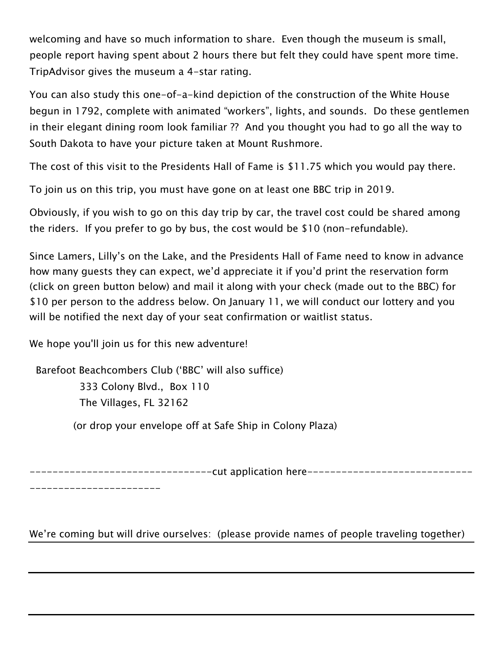welcoming and have so much information to share. Even though the museum is small, people report having spent about 2 hours there but felt they could have spent more time. TripAdvisor gives the museum a 4-star rating.

You can also study this one-of-a-kind depiction of the construction of the White House begun in 1792, complete with animated "workers", lights, and sounds. Do these gentlemen in their elegant dining room look familiar ?? And you thought you had to go all the way to South Dakota to have your picture taken at Mount Rushmore.

The cost of this visit to the Presidents Hall of Fame is \$11.75 which you would pay there.

To join us on this trip, you must have gone on at least one BBC trip in 2019.

Obviously, if you wish to go on this day trip by car, the travel cost could be shared among the riders. If you prefer to go by bus, the cost would be \$10 (non-refundable).

Since Lamers, Lilly's on the Lake, and the Presidents Hall of Fame need to know in advance how many guests they can expect, we'd appreciate it if you'd print the reservation form (click on green button below) and mail it along with your check (made out to the BBC) for \$10 per person to the address below. On January 11, we will conduct our lottery and you will be notified the next day of your seat confirmation or waitlist status.

We hope you'll join us for this new adventure!

Barefoot Beachcombers Club ('BBC' will also suffice) 333 Colony Blvd., Box 110 The Villages, FL 32162

(or drop your envelope off at Safe Ship in Colony Plaza)

--------------------------------cut application here-----------------------------

-----------------------

We're coming but will drive ourselves: (please provide names of people traveling together)